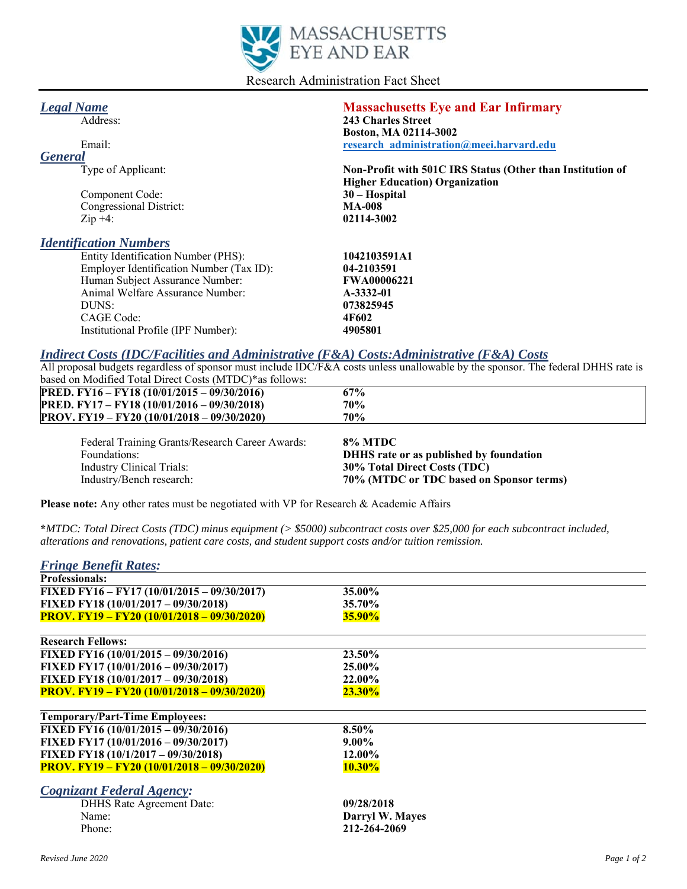

Research Administration Fact Sheet

| <b>Legal Name</b>                        | <b>Massachusetts Eye and Ear Infirmary</b>                 |
|------------------------------------------|------------------------------------------------------------|
| Address:                                 | 243 Charles Street                                         |
|                                          | Boston, MA 02114-3002                                      |
| Email:                                   | research administration@meei.harvard.edu                   |
| <b>General</b>                           |                                                            |
| Type of Applicant:                       | Non-Profit with 501C IRS Status (Other than Institution of |
|                                          | <b>Higher Education</b> ) Organization                     |
| Component Code:                          | $30 - Hospital$                                            |
| Congressional District:                  | <b>MA-008</b>                                              |
| $\mathop{\mathrm{Zip}}$ +4:              | 02114-3002                                                 |
| <b>Identification Numbers</b>            |                                                            |
| Entity Identification Number (PHS):      | 1042103591A1                                               |
| Employer Identification Number (Tax ID): | 04-2103591                                                 |
| Human Subject Assurance Number:          | <b>FWA00006221</b>                                         |
| Animal Welfare Assurance Number:         | A-3332-01                                                  |
| DUNS:                                    | 073825945                                                  |
| CAGE Code:                               | 4F602                                                      |
| Institutional Profile (IPF Number):      | 4905801                                                    |
|                                          |                                                            |

## *Indirect Costs (IDC/Facilities and Administrative (F&A) Costs:Administrative (F&A) Costs*

All proposal budgets regardless of sponsor must include IDC/F&A costs unless unallowable by the sponsor. The federal DHHS rate is based on Modified Total Direct Costs (MTDC)\*as follows:

| Eederal Training Grants/Research Career Awards:    | $90/$ MTDC |
|----------------------------------------------------|------------|
| <b>PROV.</b> FY19 – FY20 (10/01/2018 – 09/30/2020) | 70%        |
| <b>PRED.</b> FY17 – FY18 (10/01/2016 – 09/30/2018) | 70%        |
| <b>PRED.</b> FY16 – FY18 (10/01/2015 – 09/30/2016) | 67%        |

Federal Training Grants/Research Career Awards: **8% MTDC** Foundations: **DHHS rate or as published by foundation**  Industry Clinical Trials: **30% Total Direct Costs (TDC)**  Industry/Bench research: **70% (MTDC or TDC based on Sponsor terms)**

**Please note:** Any other rates must be negotiated with VP for Research & Academic Affairs

**\****MTDC: Total Direct Costs (TDC) minus equipment (> \$5000) subcontract costs over \$25,000 for each subcontract included, alterations and renovations, patient care costs, and student support costs and/or tuition remission.*

| 35.00%          |
|-----------------|
| 35.70%          |
| <b>35.90%</b>   |
|                 |
| 23.50%          |
| 25.00%          |
| <b>22.00%</b>   |
| $23.30\%$       |
|                 |
| 8.50%           |
| $9.00\%$        |
| 12.00%          |
| $10.30\%$       |
|                 |
| 09/28/2018      |
| Darryl W. Mayes |
| 212-264-2069    |
|                 |

## *Revised June 2020 Page 1 of 2*